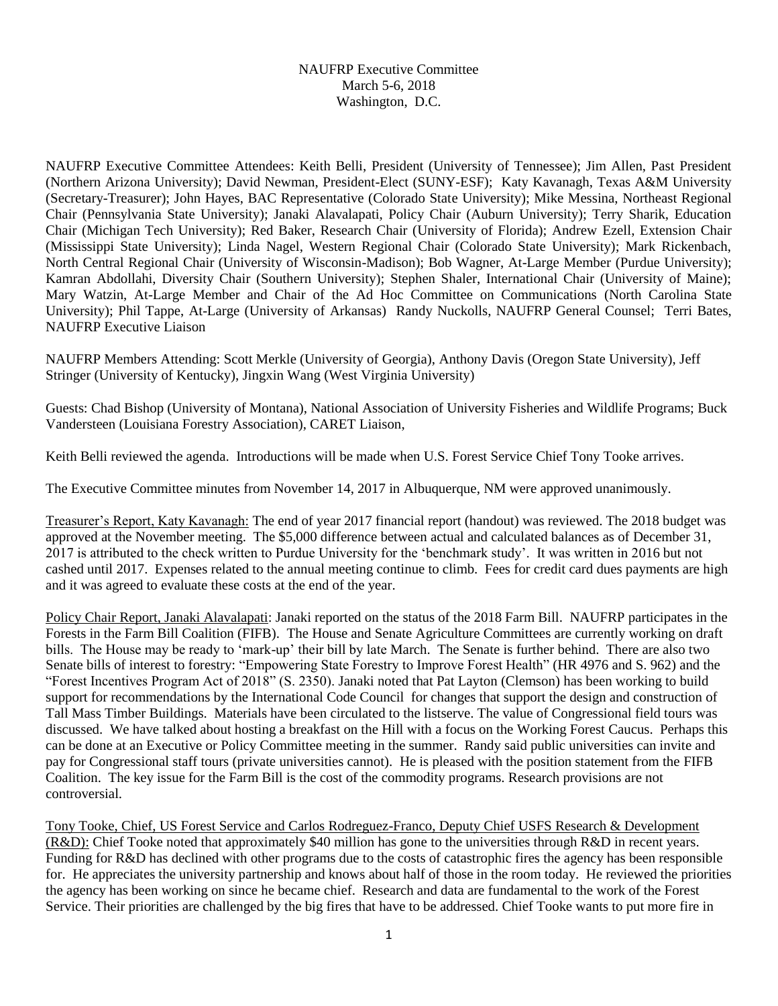## NAUFRP Executive Committee March 5-6, 2018 Washington, D.C.

NAUFRP Executive Committee Attendees: Keith Belli, President (University of Tennessee); Jim Allen, Past President (Northern Arizona University); David Newman, President-Elect (SUNY-ESF); Katy Kavanagh, Texas A&M University (Secretary-Treasurer); John Hayes, BAC Representative (Colorado State University); Mike Messina, Northeast Regional Chair (Pennsylvania State University); Janaki Alavalapati, Policy Chair (Auburn University); Terry Sharik, Education Chair (Michigan Tech University); Red Baker, Research Chair (University of Florida); Andrew Ezell, Extension Chair (Mississippi State University); Linda Nagel, Western Regional Chair (Colorado State University); Mark Rickenbach, North Central Regional Chair (University of Wisconsin-Madison); Bob Wagner, At-Large Member (Purdue University); Kamran Abdollahi, Diversity Chair (Southern University); Stephen Shaler, International Chair (University of Maine); Mary Watzin, At-Large Member and Chair of the Ad Hoc Committee on Communications (North Carolina State University); Phil Tappe, At-Large (University of Arkansas) Randy Nuckolls, NAUFRP General Counsel; Terri Bates, NAUFRP Executive Liaison

NAUFRP Members Attending: Scott Merkle (University of Georgia), Anthony Davis (Oregon State University), Jeff Stringer (University of Kentucky), Jingxin Wang (West Virginia University)

Guests: Chad Bishop (University of Montana), National Association of University Fisheries and Wildlife Programs; Buck Vandersteen (Louisiana Forestry Association), CARET Liaison,

Keith Belli reviewed the agenda. Introductions will be made when U.S. Forest Service Chief Tony Tooke arrives.

The Executive Committee minutes from November 14, 2017 in Albuquerque, NM were approved unanimously.

Treasurer's Report, Katy Kavanagh: The end of year 2017 financial report (handout) was reviewed. The 2018 budget was approved at the November meeting. The \$5,000 difference between actual and calculated balances as of December 31, 2017 is attributed to the check written to Purdue University for the 'benchmark study'. It was written in 2016 but not cashed until 2017. Expenses related to the annual meeting continue to climb. Fees for credit card dues payments are high and it was agreed to evaluate these costs at the end of the year.

Policy Chair Report, Janaki Alavalapati: Janaki reported on the status of the 2018 Farm Bill. NAUFRP participates in the Forests in the Farm Bill Coalition (FIFB). The House and Senate Agriculture Committees are currently working on draft bills. The House may be ready to 'mark-up' their bill by late March. The Senate is further behind. There are also two Senate bills of interest to forestry: "Empowering State Forestry to Improve Forest Health" (HR 4976 and S. 962) and the "Forest Incentives Program Act of 2018" (S. 2350). Janaki noted that Pat Layton (Clemson) has been working to build support for recommendations by the International Code Council for changes that support the design and construction of Tall Mass Timber Buildings. Materials have been circulated to the listserve. The value of Congressional field tours was discussed. We have talked about hosting a breakfast on the Hill with a focus on the Working Forest Caucus. Perhaps this can be done at an Executive or Policy Committee meeting in the summer. Randy said public universities can invite and pay for Congressional staff tours (private universities cannot). He is pleased with the position statement from the FIFB Coalition. The key issue for the Farm Bill is the cost of the commodity programs. Research provisions are not controversial.

Tony Tooke, Chief, US Forest Service and Carlos Rodreguez-Franco, Deputy Chief USFS Research & Development (R&D): Chief Tooke noted that approximately \$40 million has gone to the universities through R&D in recent years. Funding for R&D has declined with other programs due to the costs of catastrophic fires the agency has been responsible for. He appreciates the university partnership and knows about half of those in the room today. He reviewed the priorities the agency has been working on since he became chief. Research and data are fundamental to the work of the Forest Service. Their priorities are challenged by the big fires that have to be addressed. Chief Tooke wants to put more fire in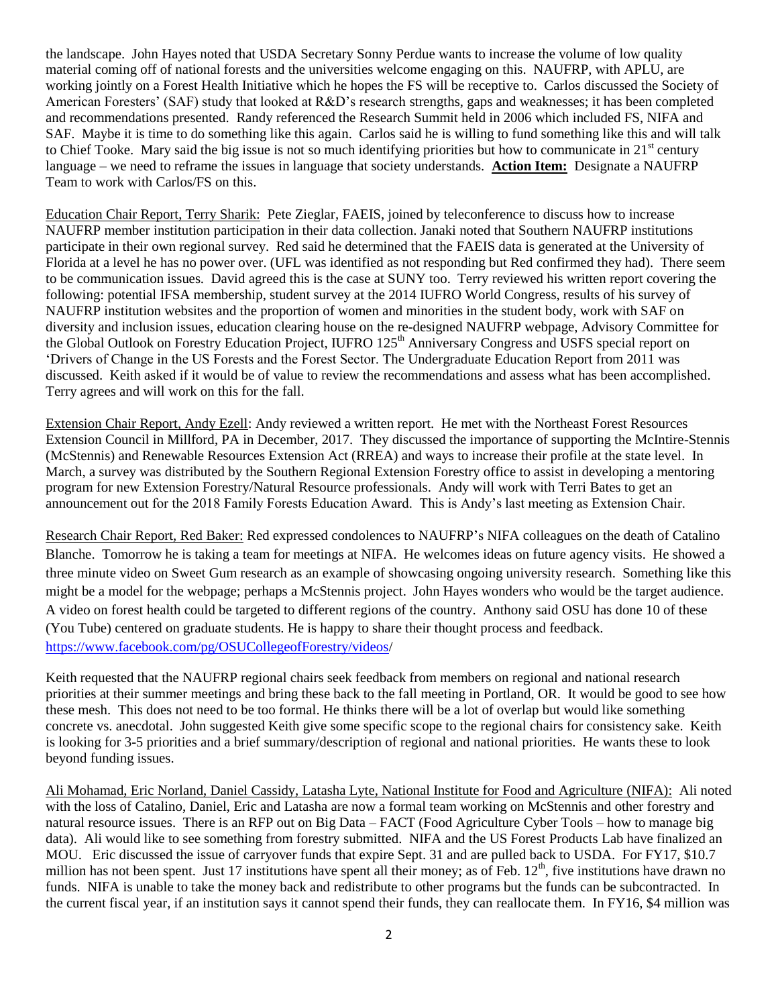the landscape. John Hayes noted that USDA Secretary Sonny Perdue wants to increase the volume of low quality material coming off of national forests and the universities welcome engaging on this. NAUFRP, with APLU, are working jointly on a Forest Health Initiative which he hopes the FS will be receptive to. Carlos discussed the Society of American Foresters' (SAF) study that looked at R&D's research strengths, gaps and weaknesses; it has been completed and recommendations presented. Randy referenced the Research Summit held in 2006 which included FS, NIFA and SAF. Maybe it is time to do something like this again. Carlos said he is willing to fund something like this and will talk to Chief Tooke. Mary said the big issue is not so much identifying priorities but how to communicate in  $21<sup>st</sup>$  century language – we need to reframe the issues in language that society understands. **Action Item:** Designate a NAUFRP Team to work with Carlos/FS on this.

Education Chair Report, Terry Sharik: Pete Zieglar, FAEIS, joined by teleconference to discuss how to increase NAUFRP member institution participation in their data collection. Janaki noted that Southern NAUFRP institutions participate in their own regional survey. Red said he determined that the FAEIS data is generated at the University of Florida at a level he has no power over. (UFL was identified as not responding but Red confirmed they had). There seem to be communication issues. David agreed this is the case at SUNY too. Terry reviewed his written report covering the following: potential IFSA membership, student survey at the 2014 IUFRO World Congress, results of his survey of NAUFRP institution websites and the proportion of women and minorities in the student body, work with SAF on diversity and inclusion issues, education clearing house on the re-designed NAUFRP webpage, Advisory Committee for the Global Outlook on Forestry Education Project, IUFRO 125<sup>th</sup> Anniversary Congress and USFS special report on 'Drivers of Change in the US Forests and the Forest Sector. The Undergraduate Education Report from 2011 was discussed. Keith asked if it would be of value to review the recommendations and assess what has been accomplished. Terry agrees and will work on this for the fall.

Extension Chair Report, Andy Ezell: Andy reviewed a written report. He met with the Northeast Forest Resources Extension Council in Millford, PA in December, 2017. They discussed the importance of supporting the McIntire-Stennis (McStennis) and Renewable Resources Extension Act (RREA) and ways to increase their profile at the state level. In March, a survey was distributed by the Southern Regional Extension Forestry office to assist in developing a mentoring program for new Extension Forestry/Natural Resource professionals. Andy will work with Terri Bates to get an announcement out for the 2018 Family Forests Education Award. This is Andy's last meeting as Extension Chair.

Research Chair Report, Red Baker: Red expressed condolences to NAUFRP's NIFA colleagues on the death of Catalino Blanche. Tomorrow he is taking a team for meetings at NIFA. He welcomes ideas on future agency visits. He showed a three minute video on Sweet Gum research as an example of showcasing ongoing university research. Something like this might be a model for the webpage; perhaps a McStennis project. John Hayes wonders who would be the target audience. A video on forest health could be targeted to different regions of the country. Anthony said OSU has done 10 of these (You Tube) centered on graduate students. He is happy to share their thought process and feedback. [https://www.facebook.com/pg/OSUCollegeofForestry/videos/](https://www.facebook.com/pg/OSUCollegeofForestry/videos)

Keith requested that the NAUFRP regional chairs seek feedback from members on regional and national research priorities at their summer meetings and bring these back to the fall meeting in Portland, OR. It would be good to see how these mesh. This does not need to be too formal. He thinks there will be a lot of overlap but would like something concrete vs. anecdotal. John suggested Keith give some specific scope to the regional chairs for consistency sake. Keith is looking for 3-5 priorities and a brief summary/description of regional and national priorities. He wants these to look beyond funding issues.

Ali Mohamad, Eric Norland, Daniel Cassidy, Latasha Lyte, National Institute for Food and Agriculture (NIFA): Ali noted with the loss of Catalino, Daniel, Eric and Latasha are now a formal team working on McStennis and other forestry and natural resource issues. There is an RFP out on Big Data – FACT (Food Agriculture Cyber Tools – how to manage big data). Ali would like to see something from forestry submitted. NIFA and the US Forest Products Lab have finalized an MOU. Eric discussed the issue of carryover funds that expire Sept. 31 and are pulled back to USDA. For FY17, \$10.7 million has not been spent. Just 17 institutions have spent all their money; as of Feb.  $12<sup>th</sup>$ , five institutions have drawn no funds. NIFA is unable to take the money back and redistribute to other programs but the funds can be subcontracted. In the current fiscal year, if an institution says it cannot spend their funds, they can reallocate them. In FY16, \$4 million was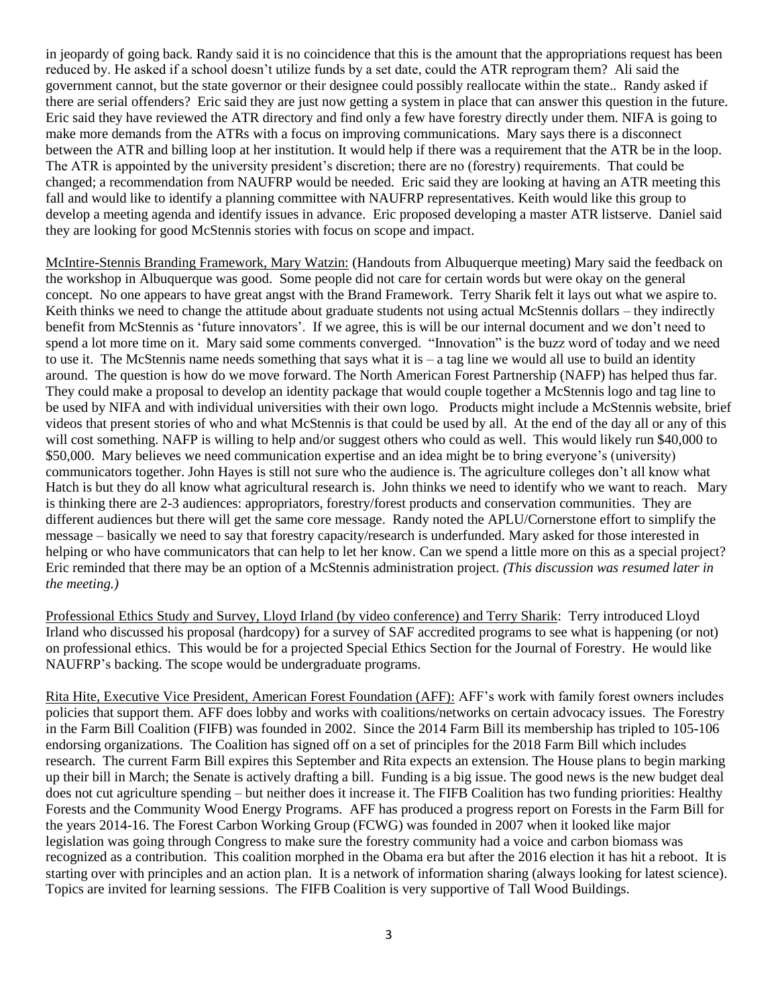in jeopardy of going back. Randy said it is no coincidence that this is the amount that the appropriations request has been reduced by. He asked if a school doesn't utilize funds by a set date, could the ATR reprogram them? Ali said the government cannot, but the state governor or their designee could possibly reallocate within the state.*.* Randy asked if there are serial offenders? Eric said they are just now getting a system in place that can answer this question in the future. Eric said they have reviewed the ATR directory and find only a few have forestry directly under them. NIFA is going to make more demands from the ATRs with a focus on improving communications. Mary says there is a disconnect between the ATR and billing loop at her institution. It would help if there was a requirement that the ATR be in the loop. The ATR is appointed by the university president's discretion; there are no (forestry) requirements. That could be changed; a recommendation from NAUFRP would be needed. Eric said they are looking at having an ATR meeting this fall and would like to identify a planning committee with NAUFRP representatives. Keith would like this group to develop a meeting agenda and identify issues in advance. Eric proposed developing a master ATR listserve. Daniel said they are looking for good McStennis stories with focus on scope and impact.

McIntire-Stennis Branding Framework, Mary Watzin: (Handouts from Albuquerque meeting) Mary said the feedback on the workshop in Albuquerque was good. Some people did not care for certain words but were okay on the general concept. No one appears to have great angst with the Brand Framework. Terry Sharik felt it lays out what we aspire to. Keith thinks we need to change the attitude about graduate students not using actual McStennis dollars – they indirectly benefit from McStennis as 'future innovators'. If we agree, this is will be our internal document and we don't need to spend a lot more time on it. Mary said some comments converged. "Innovation" is the buzz word of today and we need to use it. The McStennis name needs something that says what it is  $-$  a tag line we would all use to build an identity around. The question is how do we move forward. The North American Forest Partnership (NAFP) has helped thus far. They could make a proposal to develop an identity package that would couple together a McStennis logo and tag line to be used by NIFA and with individual universities with their own logo. Products might include a McStennis website, brief videos that present stories of who and what McStennis is that could be used by all. At the end of the day all or any of this will cost something. NAFP is willing to help and/or suggest others who could as well. This would likely run \$40,000 to \$50,000. Mary believes we need communication expertise and an idea might be to bring everyone's (university) communicators together. John Hayes is still not sure who the audience is. The agriculture colleges don't all know what Hatch is but they do all know what agricultural research is. John thinks we need to identify who we want to reach. Mary is thinking there are 2-3 audiences: appropriators, forestry/forest products and conservation communities. They are different audiences but there will get the same core message. Randy noted the APLU/Cornerstone effort to simplify the message – basically we need to say that forestry capacity/research is underfunded. Mary asked for those interested in helping or who have communicators that can help to let her know. Can we spend a little more on this as a special project? Eric reminded that there may be an option of a McStennis administration project. *(This discussion was resumed later in the meeting.)*

Professional Ethics Study and Survey, Lloyd Irland (by video conference) and Terry Sharik: Terry introduced Lloyd Irland who discussed his proposal (hardcopy) for a survey of SAF accredited programs to see what is happening (or not) on professional ethics. This would be for a projected Special Ethics Section for the Journal of Forestry. He would like NAUFRP's backing. The scope would be undergraduate programs.

Rita Hite, Executive Vice President, American Forest Foundation (AFF): AFF's work with family forest owners includes policies that support them. AFF does lobby and works with coalitions/networks on certain advocacy issues. The Forestry in the Farm Bill Coalition (FIFB) was founded in 2002. Since the 2014 Farm Bill its membership has tripled to 105-106 endorsing organizations. The Coalition has signed off on a set of principles for the 2018 Farm Bill which includes research. The current Farm Bill expires this September and Rita expects an extension. The House plans to begin marking up their bill in March; the Senate is actively drafting a bill. Funding is a big issue. The good news is the new budget deal does not cut agriculture spending – but neither does it increase it. The FIFB Coalition has two funding priorities: Healthy Forests and the Community Wood Energy Programs. AFF has produced a progress report on Forests in the Farm Bill for the years 2014-16. The Forest Carbon Working Group (FCWG) was founded in 2007 when it looked like major legislation was going through Congress to make sure the forestry community had a voice and carbon biomass was recognized as a contribution. This coalition morphed in the Obama era but after the 2016 election it has hit a reboot. It is starting over with principles and an action plan. It is a network of information sharing (always looking for latest science). Topics are invited for learning sessions. The FIFB Coalition is very supportive of Tall Wood Buildings.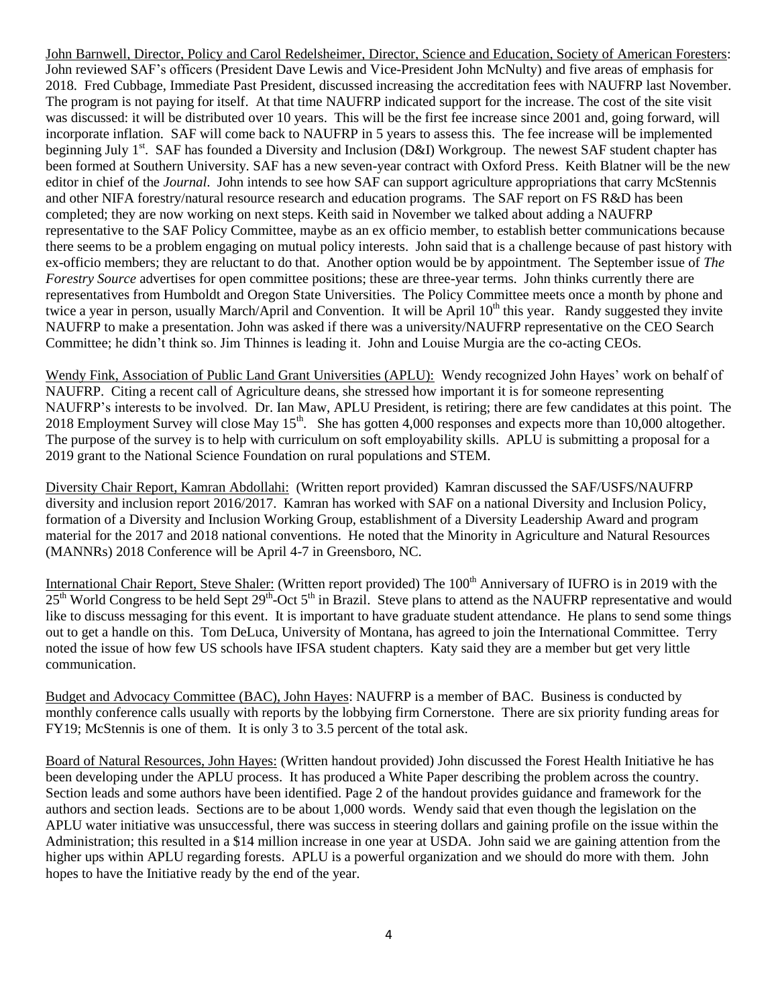John Barnwell, Director, Policy and Carol Redelsheimer, Director, Science and Education, Society of American Foresters: John reviewed SAF's officers (President Dave Lewis and Vice-President John McNulty) and five areas of emphasis for 2018. Fred Cubbage, Immediate Past President, discussed increasing the accreditation fees with NAUFRP last November. The program is not paying for itself. At that time NAUFRP indicated support for the increase. The cost of the site visit was discussed: it will be distributed over 10 years. This will be the first fee increase since 2001 and, going forward, will incorporate inflation. SAF will come back to NAUFRP in 5 years to assess this. The fee increase will be implemented beginning July 1<sup>st</sup>. SAF has founded a Diversity and Inclusion (D&I) Workgroup. The newest SAF student chapter has been formed at Southern University. SAF has a new seven-year contract with Oxford Press. Keith Blatner will be the new editor in chief of the *Journal*. John intends to see how SAF can support agriculture appropriations that carry McStennis and other NIFA forestry/natural resource research and education programs. The SAF report on FS R&D has been completed; they are now working on next steps. Keith said in November we talked about adding a NAUFRP representative to the SAF Policy Committee, maybe as an ex officio member, to establish better communications because there seems to be a problem engaging on mutual policy interests. John said that is a challenge because of past history with ex-officio members; they are reluctant to do that. Another option would be by appointment. The September issue of *The Forestry Source* advertises for open committee positions; these are three-year terms. John thinks currently there are representatives from Humboldt and Oregon State Universities. The Policy Committee meets once a month by phone and twice a year in person, usually March/April and Convention. It will be April  $10<sup>th</sup>$  this year. Randy suggested they invite NAUFRP to make a presentation. John was asked if there was a university/NAUFRP representative on the CEO Search Committee; he didn't think so. Jim Thinnes is leading it. John and Louise Murgia are the co-acting CEOs.

Wendy Fink, Association of Public Land Grant Universities (APLU): Wendy recognized John Hayes' work on behalf of NAUFRP. Citing a recent call of Agriculture deans, she stressed how important it is for someone representing NAUFRP's interests to be involved. Dr. Ian Maw, APLU President, is retiring; there are few candidates at this point. The 2018 Employment Survey will close May 15<sup>th</sup>. She has gotten 4,000 responses and expects more than 10,000 altogether. The purpose of the survey is to help with curriculum on soft employability skills. APLU is submitting a proposal for a 2019 grant to the National Science Foundation on rural populations and STEM.

Diversity Chair Report, Kamran Abdollahi: (Written report provided) Kamran discussed the SAF/USFS/NAUFRP diversity and inclusion report 2016/2017. Kamran has worked with SAF on a national Diversity and Inclusion Policy, formation of a Diversity and Inclusion Working Group, establishment of a Diversity Leadership Award and program material for the 2017 and 2018 national conventions. He noted that the Minority in Agriculture and Natural Resources (MANNRs) 2018 Conference will be April 4-7 in Greensboro, NC.

International Chair Report, Steve Shaler: (Written report provided) The 100<sup>th</sup> Anniversary of IUFRO is in 2019 with the  $25<sup>th</sup>$  World Congress to be held Sept  $29<sup>th</sup>$ -Oct  $5<sup>th</sup>$  in Brazil. Steve plans to attend as the NAUFRP representative and would like to discuss messaging for this event. It is important to have graduate student attendance. He plans to send some things out to get a handle on this. Tom DeLuca, University of Montana, has agreed to join the International Committee. Terry noted the issue of how few US schools have IFSA student chapters. Katy said they are a member but get very little communication.

Budget and Advocacy Committee (BAC), John Hayes: NAUFRP is a member of BAC. Business is conducted by monthly conference calls usually with reports by the lobbying firm Cornerstone. There are six priority funding areas for FY19; McStennis is one of them. It is only 3 to 3.5 percent of the total ask.

Board of Natural Resources, John Hayes: (Written handout provided) John discussed the Forest Health Initiative he has been developing under the APLU process. It has produced a White Paper describing the problem across the country. Section leads and some authors have been identified. Page 2 of the handout provides guidance and framework for the authors and section leads. Sections are to be about 1,000 words. Wendy said that even though the legislation on the APLU water initiative was unsuccessful, there was success in steering dollars and gaining profile on the issue within the Administration; this resulted in a \$14 million increase in one year at USDA. John said we are gaining attention from the higher ups within APLU regarding forests. APLU is a powerful organization and we should do more with them. John hopes to have the Initiative ready by the end of the year.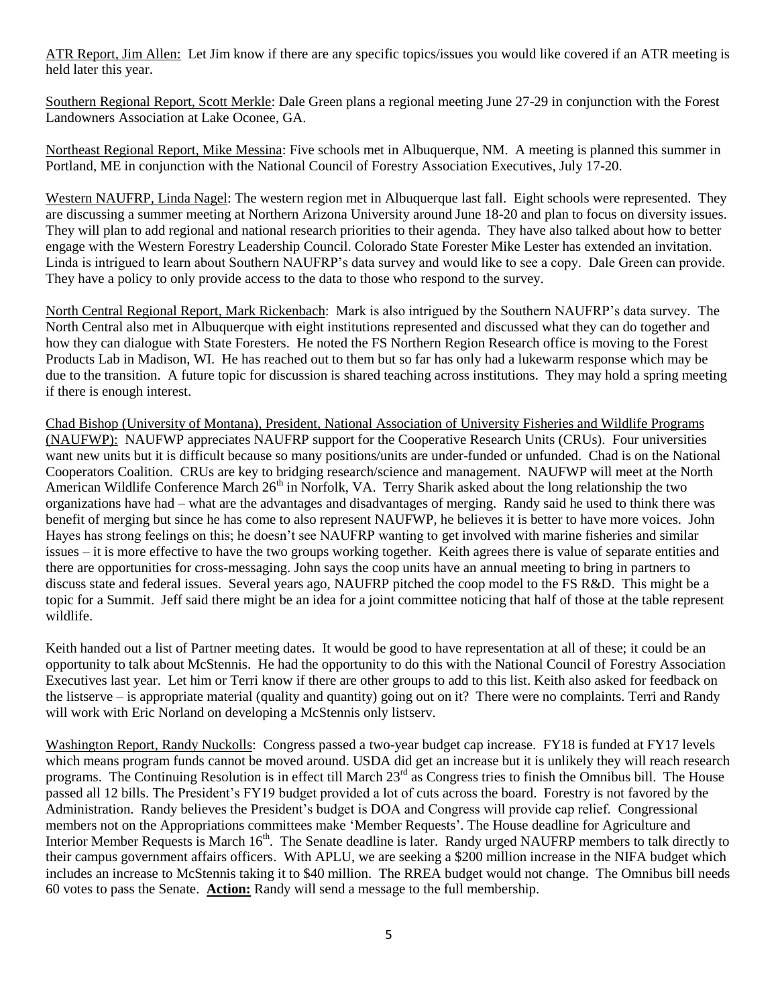ATR Report, Jim Allen: Let Jim know if there are any specific topics/issues you would like covered if an ATR meeting is held later this year.

Southern Regional Report, Scott Merkle: Dale Green plans a regional meeting June 27-29 in conjunction with the Forest Landowners Association at Lake Oconee, GA.

Northeast Regional Report, Mike Messina: Five schools met in Albuquerque, NM. A meeting is planned this summer in Portland, ME in conjunction with the National Council of Forestry Association Executives, July 17-20.

Western NAUFRP, Linda Nagel: The western region met in Albuquerque last fall. Eight schools were represented. They are discussing a summer meeting at Northern Arizona University around June 18-20 and plan to focus on diversity issues. They will plan to add regional and national research priorities to their agenda. They have also talked about how to better engage with the Western Forestry Leadership Council. Colorado State Forester Mike Lester has extended an invitation. Linda is intrigued to learn about Southern NAUFRP's data survey and would like to see a copy. Dale Green can provide. They have a policy to only provide access to the data to those who respond to the survey.

North Central Regional Report, Mark Rickenbach: Mark is also intrigued by the Southern NAUFRP's data survey. The North Central also met in Albuquerque with eight institutions represented and discussed what they can do together and how they can dialogue with State Foresters. He noted the FS Northern Region Research office is moving to the Forest Products Lab in Madison, WI. He has reached out to them but so far has only had a lukewarm response which may be due to the transition. A future topic for discussion is shared teaching across institutions. They may hold a spring meeting if there is enough interest.

Chad Bishop (University of Montana), President, National Association of University Fisheries and Wildlife Programs (NAUFWP): NAUFWP appreciates NAUFRP support for the Cooperative Research Units (CRUs). Four universities want new units but it is difficult because so many positions/units are under-funded or unfunded. Chad is on the National Cooperators Coalition. CRUs are key to bridging research/science and management. NAUFWP will meet at the North American Wildlife Conference March 26<sup>th</sup> in Norfolk, VA. Terry Sharik asked about the long relationship the two organizations have had – what are the advantages and disadvantages of merging. Randy said he used to think there was benefit of merging but since he has come to also represent NAUFWP, he believes it is better to have more voices. John Hayes has strong feelings on this; he doesn't see NAUFRP wanting to get involved with marine fisheries and similar issues – it is more effective to have the two groups working together. Keith agrees there is value of separate entities and there are opportunities for cross-messaging. John says the coop units have an annual meeting to bring in partners to discuss state and federal issues. Several years ago, NAUFRP pitched the coop model to the FS R&D. This might be a topic for a Summit. Jeff said there might be an idea for a joint committee noticing that half of those at the table represent wildlife.

Keith handed out a list of Partner meeting dates. It would be good to have representation at all of these; it could be an opportunity to talk about McStennis. He had the opportunity to do this with the National Council of Forestry Association Executives last year. Let him or Terri know if there are other groups to add to this list. Keith also asked for feedback on the listserve – is appropriate material (quality and quantity) going out on it? There were no complaints. Terri and Randy will work with Eric Norland on developing a McStennis only listserv.

Washington Report, Randy Nuckolls: Congress passed a two-year budget cap increase. FY18 is funded at FY17 levels which means program funds cannot be moved around. USDA did get an increase but it is unlikely they will reach research programs. The Continuing Resolution is in effect till March 23<sup>rd</sup> as Congress tries to finish the Omnibus bill. The House passed all 12 bills. The President's FY19 budget provided a lot of cuts across the board. Forestry is not favored by the Administration. Randy believes the President's budget is DOA and Congress will provide cap relief. Congressional members not on the Appropriations committees make 'Member Requests'. The House deadline for Agriculture and Interior Member Requests is March 16<sup>th</sup>. The Senate deadline is later. Randy urged NAUFRP members to talk directly to their campus government affairs officers. With APLU, we are seeking a \$200 million increase in the NIFA budget which includes an increase to McStennis taking it to \$40 million. The RREA budget would not change. The Omnibus bill needs 60 votes to pass the Senate. **Action:** Randy will send a message to the full membership.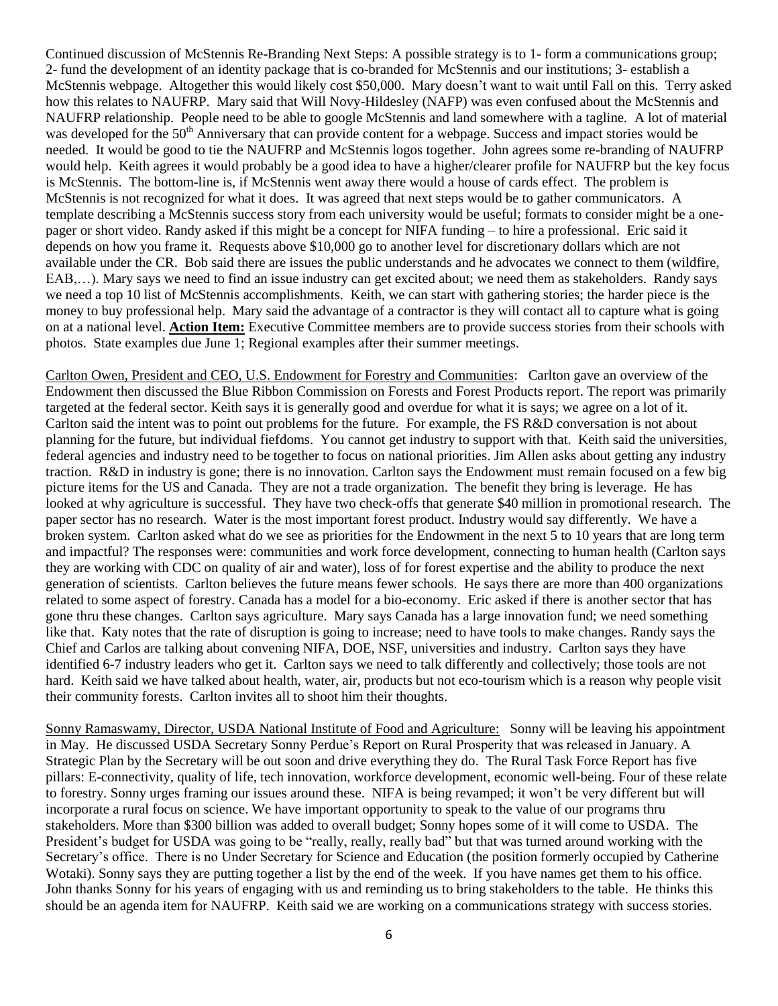Continued discussion of McStennis Re-Branding Next Steps: A possible strategy is to 1- form a communications group; 2- fund the development of an identity package that is co-branded for McStennis and our institutions; 3- establish a McStennis webpage. Altogether this would likely cost \$50,000. Mary doesn't want to wait until Fall on this. Terry asked how this relates to NAUFRP. Mary said that Will Novy-Hildesley (NAFP) was even confused about the McStennis and NAUFRP relationship. People need to be able to google McStennis and land somewhere with a tagline*.* A lot of material was developed for the 50<sup>th</sup> Anniversary that can provide content for a webpage. Success and impact stories would be needed. It would be good to tie the NAUFRP and McStennis logos together. John agrees some re-branding of NAUFRP would help. Keith agrees it would probably be a good idea to have a higher/clearer profile for NAUFRP but the key focus is McStennis. The bottom-line is, if McStennis went away there would a house of cards effect. The problem is McStennis is not recognized for what it does. It was agreed that next steps would be to gather communicators. A template describing a McStennis success story from each university would be useful; formats to consider might be a onepager or short video. Randy asked if this might be a concept for NIFA funding – to hire a professional. Eric said it depends on how you frame it. Requests above \$10,000 go to another level for discretionary dollars which are not available under the CR. Bob said there are issues the public understands and he advocates we connect to them (wildfire, EAB,…)*.* Mary says we need to find an issue industry can get excited about; we need them as stakeholders. Randy says we need a top 10 list of McStennis accomplishments. Keith, we can start with gathering stories; the harder piece is the money to buy professional help. Mary said the advantage of a contractor is they will contact all to capture what is going on at a national level. **Action Item:** Executive Committee members are to provide success stories from their schools with photos. State examples due June 1; Regional examples after their summer meetings.

Carlton Owen, President and CEO, U.S. Endowment for Forestry and Communities: Carlton gave an overview of the Endowment then discussed the Blue Ribbon Commission on Forests and Forest Products report. The report was primarily targeted at the federal sector. Keith says it is generally good and overdue for what it is says; we agree on a lot of it. Carlton said the intent was to point out problems for the future. For example, the FS R&D conversation is not about planning for the future, but individual fiefdoms. You cannot get industry to support with that. Keith said the universities, federal agencies and industry need to be together to focus on national priorities. Jim Allen asks about getting any industry traction. R&D in industry is gone; there is no innovation. Carlton says the Endowment must remain focused on a few big picture items for the US and Canada. They are not a trade organization. The benefit they bring is leverage. He has looked at why agriculture is successful. They have two check-offs that generate \$40 million in promotional research. The paper sector has no research. Water is the most important forest product. Industry would say differently. We have a broken system. Carlton asked what do we see as priorities for the Endowment in the next 5 to 10 years that are long term and impactful? The responses were: communities and work force development, connecting to human health (Carlton says they are working with CDC on quality of air and water), loss of for forest expertise and the ability to produce the next generation of scientists. Carlton believes the future means fewer schools. He says there are more than 400 organizations related to some aspect of forestry. Canada has a model for a bio-economy. Eric asked if there is another sector that has gone thru these changes. Carlton says agriculture. Mary says Canada has a large innovation fund; we need something like that. Katy notes that the rate of disruption is going to increase; need to have tools to make changes*.* Randy says the Chief and Carlos are talking about convening NIFA, DOE, NSF, universities and industry. Carlton says they have identified 6-7 industry leaders who get it. Carlton says we need to talk differently and collectively; those tools are not hard. Keith said we have talked about health, water, air, products but not eco-tourism which is a reason why people visit their community forests. Carlton invites all to shoot him their thoughts.

Sonny Ramaswamy, Director, USDA National Institute of Food and Agriculture: Sonny will be leaving his appointment in May. He discussed USDA Secretary Sonny Perdue's Report on Rural Prosperity that was released in January. A Strategic Plan by the Secretary will be out soon and drive everything they do. The Rural Task Force Report has five pillars: E-connectivity, quality of life, tech innovation, workforce development, economic well-being. Four of these relate to forestry. Sonny urges framing our issues around these. NIFA is being revamped; it won't be very different but will incorporate a rural focus on science. We have important opportunity to speak to the value of our programs thru stakeholders. More than \$300 billion was added to overall budget; Sonny hopes some of it will come to USDA. The President's budget for USDA was going to be "really, really, really bad" but that was turned around working with the Secretary's office. There is no Under Secretary for Science and Education (the position formerly occupied by Catherine Wotaki). Sonny says they are putting together a list by the end of the week. If you have names get them to his office. John thanks Sonny for his years of engaging with us and reminding us to bring stakeholders to the table. He thinks this should be an agenda item for NAUFRP. Keith said we are working on a communications strategy with success stories.